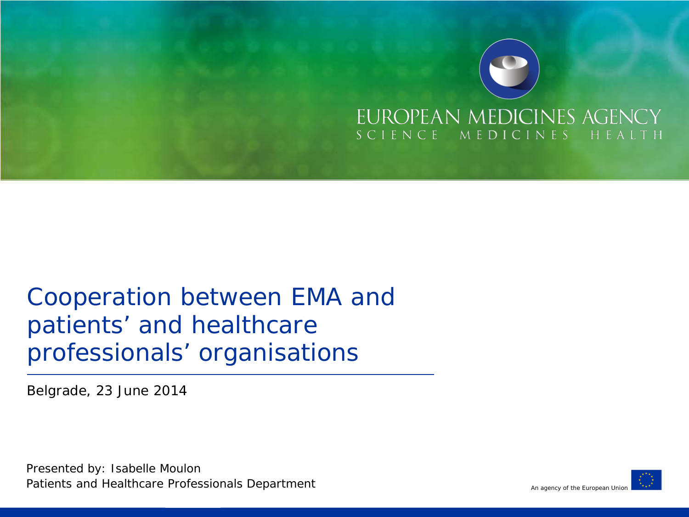

#### Cooperation between EMA and patients' and healthcare professionals' organisations

Belgrade, 23 June 2014

Presented by: Isabelle Moulon Patients and Healthcare Professionals Department

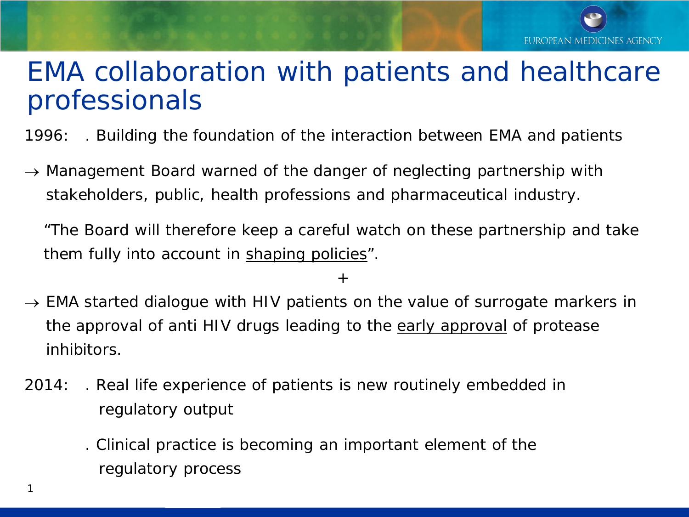#### EMA collaboration with patients and healthcare professionals

1996: . Building the foundation of the interaction between EMA and patients

 $\rightarrow$  Management Board warned of the danger of neglecting partnership with stakeholders, public, health professions and pharmaceutical industry.

"The Board will therefore keep a careful watch on these partnership and take them fully into account in shaping policies".

+

- $\rightarrow$  EMA started dialogue with HIV patients on the value of surrogate markers in the approval of anti HIV drugs leading to the early approval of protease inhibitors.
- 2014: . Real life experience of patients is new routinely embedded in regulatory output
	- . Clinical practice is becoming an important element of the regulatory process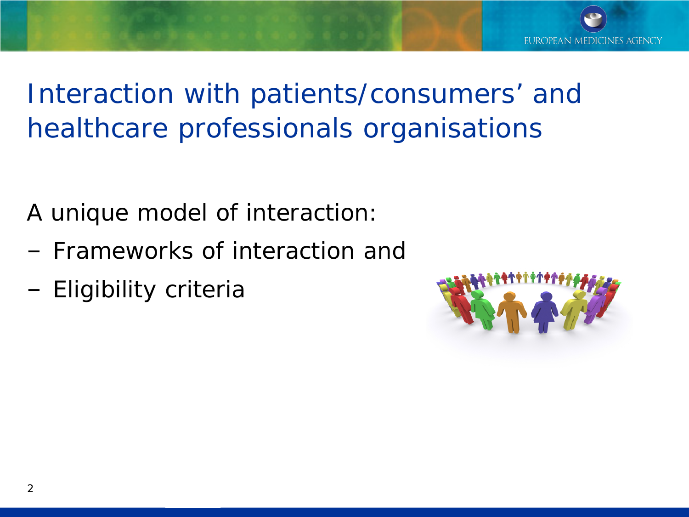

## Interaction with patients/consumers' and healthcare professionals organisations

A unique model of interaction:

- ‒ Frameworks of interaction and
- ‒ Eligibility criteria

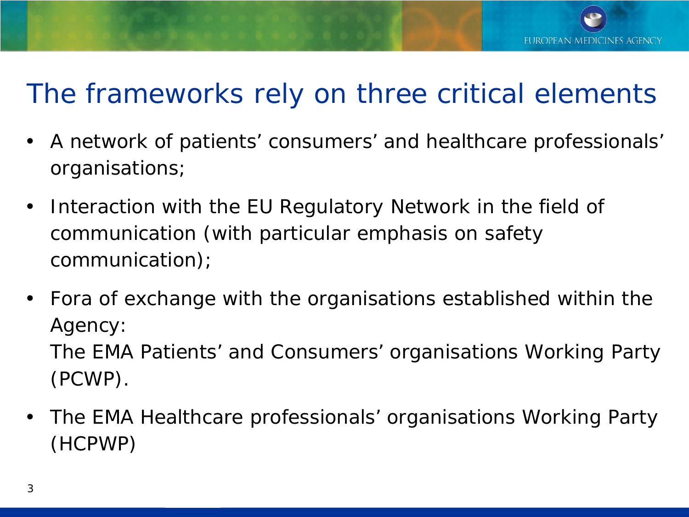### The frameworks rely on three critical elements

- A network of patients' consumers' and healthcare professionals' organisations;
- Interaction with the EU Regulatory Network in the field of communication (with particular emphasis on safety communication);
- Fora of exchange with the organisations established within the Agency: The EMA Patients' and Consumers' organisations Working Party (PCWP).
- The EMA Healthcare professionals' organisations Working Party (HCPWP)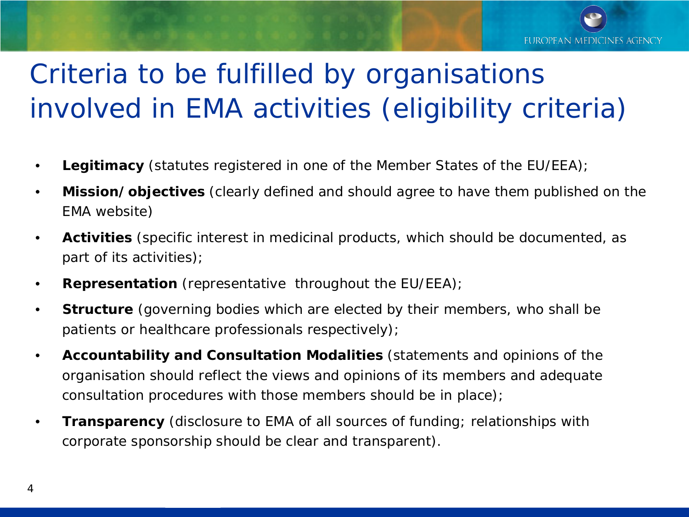

# Criteria to be fulfilled by organisations involved in EMA activities (eligibility criteria)

- **Legitimacy** (statutes registered in one of the Member States of the EU/EEA);
- **Mission/objectives** (clearly defined and should agree to have them published on the EMA website)
- **Activities** (specific interest in medicinal products, which should be documented, as part of its activities);
- **Representation** (representative throughout the EU/EEA);
- **Structure** (governing bodies which are elected by their members, who shall be patients or healthcare professionals respectively);
- **Accountability and Consultation Modalities** (statements and opinions of the organisation should reflect the views and opinions of its members and adequate consultation procedures with those members should be in place);
- **Transparency** (disclosure to EMA of all sources of funding; relationships with corporate sponsorship should be clear and transparent).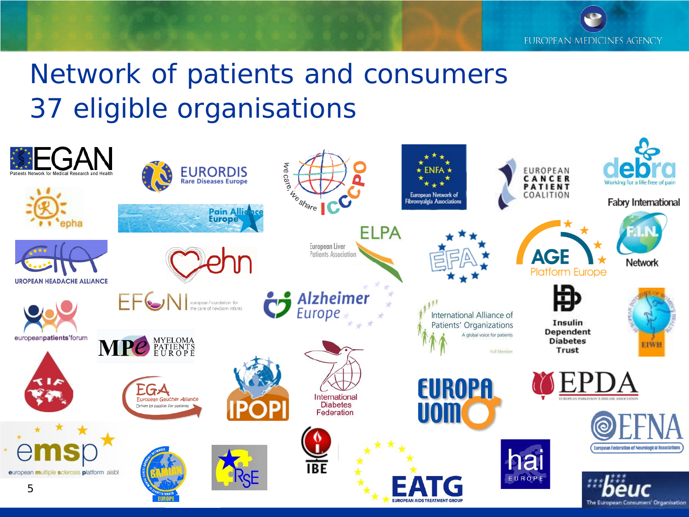EUROPEAN MEDICINES AGENCY

# Network of patients and consumers 37 eligible organisations

| 额FGAN<br>Patients Network for Medical Research and Health |                                                                    | <b>EURORDIS</b><br>Rare Diseases Europe | we care.                                       | $\star$ ENFA $\star$                                 |                             | EUROPEAN<br>CANCER<br>PATIENT                         | e<br>Working for a life free of pain                          |
|-----------------------------------------------------------|--------------------------------------------------------------------|-----------------------------------------|------------------------------------------------|------------------------------------------------------|-----------------------------|-------------------------------------------------------|---------------------------------------------------------------|
|                                                           |                                                                    | Pain Alliance<br><b>Europe</b>          | <b>hte share</b><br><b>ELPA</b>                | European Network of<br>Fibromyalgia Associations     |                             | COALITION                                             | <b>Fabry International</b>                                    |
| <b>UROPEAN HEADACHE ALLIANCE</b>                          |                                                                    |                                         | European Liver<br>Patients Association         |                                                      |                             | <b>AGE</b><br><b>Platform Europe</b>                  | Network                                                       |
| europeanpatients'forum                                    | EFCNI european foundation for<br>MPC PATIENTS                      |                                         | $\bullet$ Alzheimer                            | International Alliance of<br>Patients' Organizations | A global voice for patients | 电<br>Insulin<br>Dependent<br><b>Diabetes</b><br>Trust | <b>EIWH</b>                                                   |
| $\sim$                                                    | EGA<br>European Gaucher Alliance<br>Driven by passion for patients |                                         | International<br><b>Diabetes</b><br>Federation | <b>EUROPA</b><br><b>UOM</b>                          | Full Member                 | UROPEAN PARKINSON'S DISEASE ASSOCIATION               |                                                               |
| ems<br>european multiple sclerosis platform aisbl         |                                                                    |                                         | <b>NE</b>                                      |                                                      |                             | hai<br>EUROPE                                         | IА<br><b>European Federation of Neurological Associations</b> |
| 5                                                         |                                                                    |                                         |                                                | <b>EATG</b><br><b>EUROPEAN AIDS TREATMENT GROUP</b>  |                             |                                                       | The European Consumers' Organisation                          |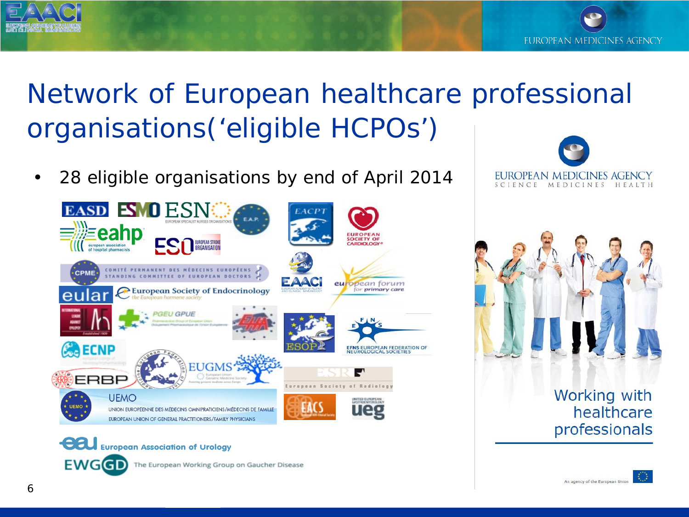

# Network of European healthcare professional organisations('eligible HCPOs')

• 28 eligible organisations by end of April 2014



The European Working Group on Gaucher Disease





#### Working with healthcare professionals

**EWGGD**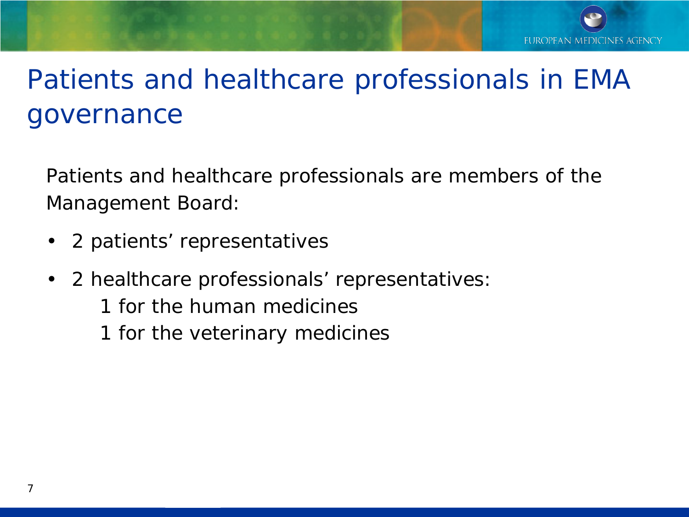# Patients and healthcare professionals in EMA governance

Patients and healthcare professionals are members of the Management Board:

- 2 patients' representatives
- 2 healthcare professionals' representatives:
	- 1 for the human medicines
	- 1 for the veterinary medicines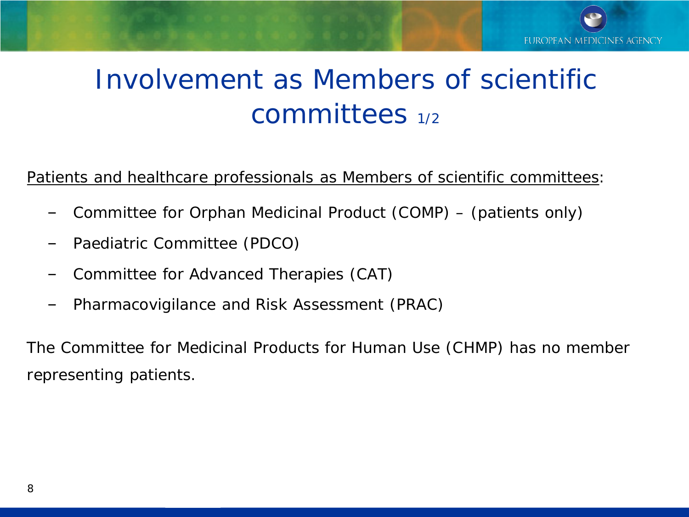## Involvement as Members of scientific committees 1/2

#### Patients and healthcare professionals as Members of scientific committees:

- ‒ Committee for Orphan Medicinal Product (COMP) (patients only)
- ‒ Paediatric Committee (PDCO)
- ‒ Committee for Advanced Therapies (CAT)
- ‒ Pharmacovigilance and Risk Assessment (PRAC)

The Committee for Medicinal Products for Human Use (CHMP) has no member representing patients.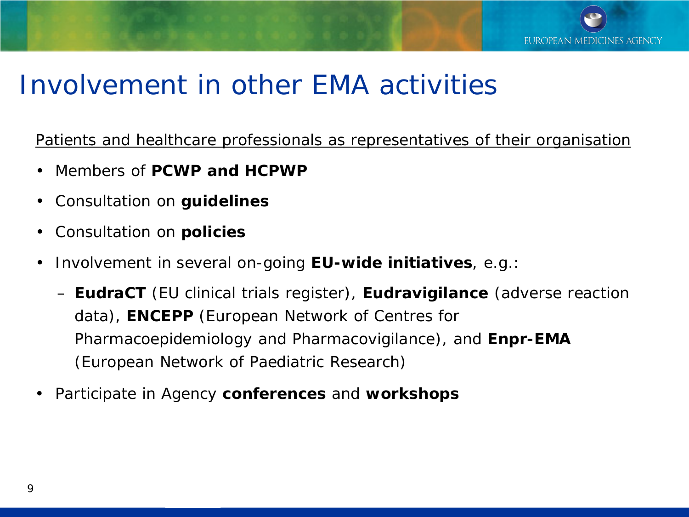

#### Involvement in other EMA activities

Patients and healthcare professionals as representatives of their organisation

- Members of **PCWP and HCPWP**
- Consultation on **guidelines**
- Consultation on **policies**
- Involvement in several on-going **EU-wide initiatives**, *e.g*.:
	- **EudraCT** (EU clinical trials register), **Eudravigilance** (adverse reaction data), **ENCEPP** (European Network of Centres for Pharmacoepidemiology and Pharmacovigilance), and **Enpr-EMA** (European Network of Paediatric Research)
- Participate in Agency **conferences** and **workshops**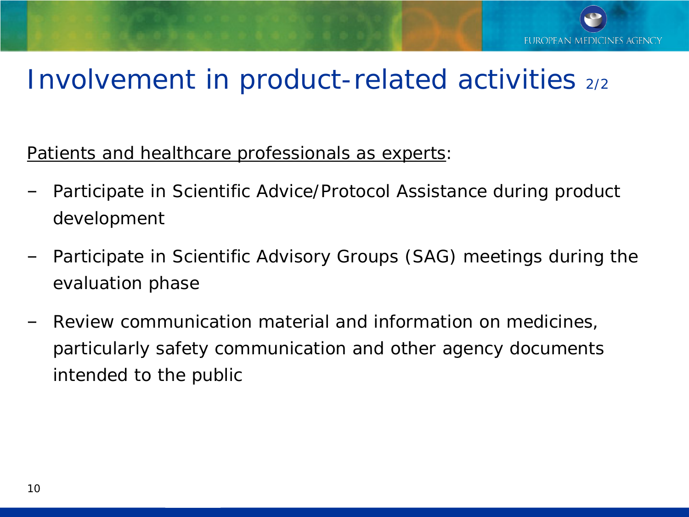### Involvement in product-related activities 2/2

Patients and healthcare professionals as experts:

- ‒ Participate in Scientific Advice/Protocol Assistance during product development
- ‒ Participate in Scientific Advisory Groups (SAG) meetings during the evaluation phase
- ‒ Review communication material and information on medicines, particularly safety communication and other agency documents intended to the public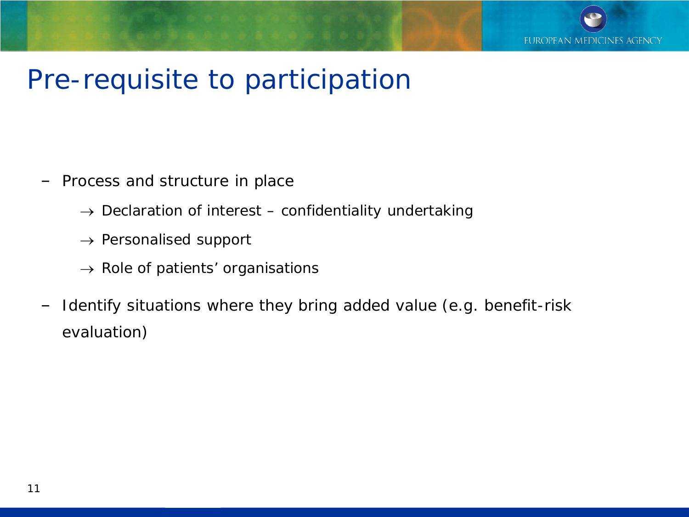

#### Pre-requisite to participation

- ‒ Process and structure in place
	- $\rightarrow$  Declaration of interest confidentiality undertaking
	- $\rightarrow$  Personalised support
	- $\rightarrow$  Role of patients' organisations
- ‒ Identify situations where they bring added value (e.g. benefit-risk evaluation)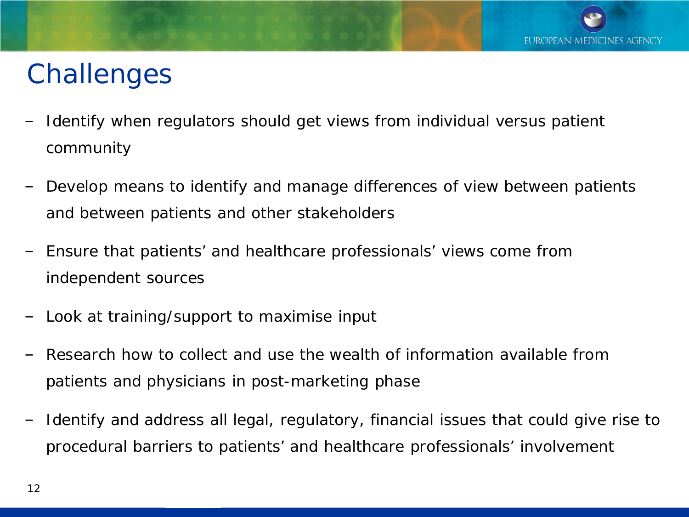## **Challenges**

- Identify when regulators should get views from individual versus patient community
- ‒ Develop means to identify and manage differences of view between patients and between patients and other stakeholders
- ‒ Ensure that patients' and healthcare professionals' views come from independent sources
- ‒ Look at training/support to maximise input
- Research how to collect and use the wealth of information available from patients and physicians in post-marketing phase
- ‒ Identify and address all legal, regulatory, financial issues that could give rise to procedural barriers to patients' and healthcare professionals' involvement